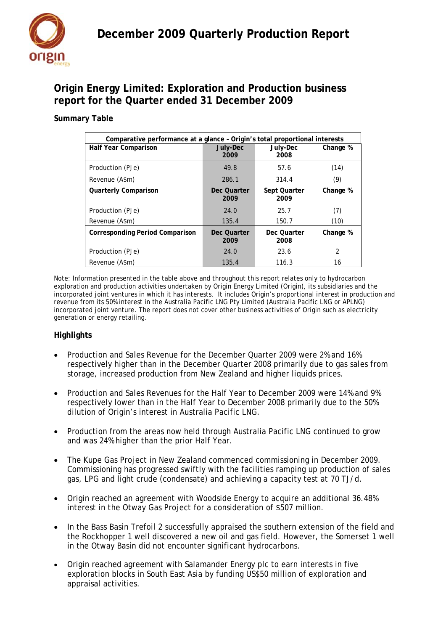

## **Origin Energy Limited: Exploration and Production business report for the Quarter ended 31 December 2009**

## **Summary Table**

| Comparative performance at a glance - Origin's total proportional interests |                     |                      |                |
|-----------------------------------------------------------------------------|---------------------|----------------------|----------------|
| Half Year Comparison                                                        | July-Dec<br>2009    | July-Dec<br>2008     | Change %       |
| Production (PJe)                                                            | 49.8                | 57.6                 | (14)           |
| Revenue (A\$m)                                                              | 286.1               | 314.4                | (9)            |
| <b>Quarterly Comparison</b>                                                 | Dec Quarter<br>2009 | Sept Quarter<br>2009 | Change %       |
| Production (PJe)                                                            | 24.0                | 25.7                 | (7)            |
| Revenue (A\$m)                                                              | 135.4               | 150.7                | (10)           |
| <b>Corresponding Period Comparison</b>                                      | Dec Quarter<br>2009 | Dec Quarter<br>2008  | Change %       |
| Production (PJe)                                                            | 24.0                | 23.6                 | $\overline{2}$ |
| Revenue (A\$m)                                                              | 135.4               | 116.3                | 16             |

Note: Information presented in the table above and throughout this report relates only to hydrocarbon exploration and production activities undertaken by Origin Energy Limited (Origin), its subsidiaries and the incorporated joint ventures in which it has interests. It includes Origin's proportional interest in production and revenue from its 50% interest in the Australia Pacific LNG Pty Limited (Australia Pacific LNG or APLNG) incorporated joint venture. The report does not cover other business activities of Origin such as electricity generation or energy retailing.

## **Highlights**

- Production and Sales Revenue for the December Quarter 2009 were 2% and 16% respectively higher than in the December Quarter 2008 primarily due to gas sales from storage, increased production from New Zealand and higher liquids prices.
- Production and Sales Revenues for the Half Year to December 2009 were 14% and 9% respectively lower than in the Half Year to December 2008 primarily due to the 50% dilution of Origin's interest in Australia Pacific LNG.
- Production from the areas now held through Australia Pacific LNG continued to grow and was 24% higher than the prior Half Year.
- The Kupe Gas Project in New Zealand commenced commissioning in December 2009. Commissioning has progressed swiftly with the facilities ramping up production of sales gas, LPG and light crude (condensate) and achieving a capacity test at 70 TJ/d.
- Origin reached an agreement with Woodside Energy to acquire an additional 36.48% interest in the Otway Gas Project for a consideration of \$507 million.
- In the Bass Basin Trefoil 2 successfully appraised the southern extension of the field and the Rockhopper 1 well discovered a new oil and gas field. However, the Somerset 1 well in the Otway Basin did not encounter significant hydrocarbons.
- Origin reached agreement with Salamander Energy plc to earn interests in five exploration blocks in South East Asia by funding US\$50 million of exploration and appraisal activities.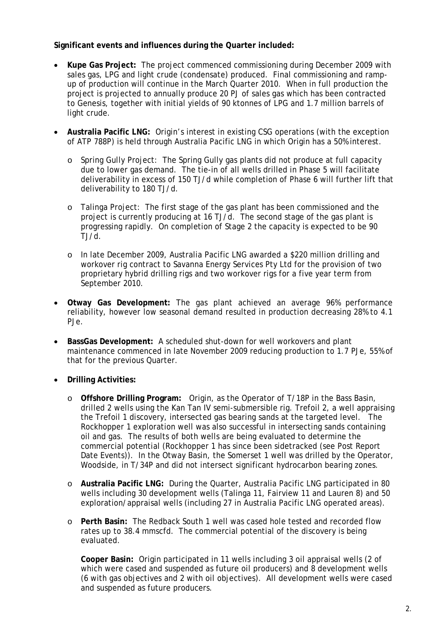## **Significant events and influences during the Quarter included:**

- **Kupe Gas Project:** The project commenced commissioning during December 2009 with sales gas, LPG and light crude (condensate) produced. Final commissioning and rampup of production will continue in the March Quarter 2010. When in full production the project is projected to annually produce 20 PJ of sales gas which has been contracted to Genesis, together with initial yields of 90 ktonnes of LPG and 1.7 million barrels of light crude.
- **Australia Pacific LNG:** Origin's interest in existing CSG operations (with the exception of ATP 788P) is held through Australia Pacific LNG in which Origin has a 50% interest.
	- o Spring Gully Project: The Spring Gully gas plants did not produce at full capacity due to lower gas demand. The tie-in of all wells drilled in Phase 5 will facilitate deliverability in excess of 150 TJ/d while completion of Phase 6 will further lift that deliverability to 180 TJ/d.
	- o Talinga Project: The first stage of the gas plant has been commissioned and the project is currently producing at 16 TJ/d. The second stage of the gas plant is progressing rapidly. On completion of Stage 2 the capacity is expected to be 90 TJ/d.
	- o In late December 2009, Australia Pacific LNG awarded a \$220 million drilling and workover rig contract to Savanna Energy Services Pty Ltd for the provision of two proprietary hybrid drilling rigs and two workover rigs for a five year term from September 2010.
- **Otway Gas Development:** The gas plant achieved an average 96% performance reliability, however low seasonal demand resulted in production decreasing 28% to 4.1 PJe.
- **BassGas Development:** A scheduled shut-down for well workovers and plant maintenance commenced in late November 2009 reducing production to 1.7 PJe, 55% of that for the previous Quarter.
- **Drilling Activities:** 
	- o **Offshore Drilling Program:** Origin, as the Operator of T/18P in the Bass Basin, drilled 2 wells using the Kan Tan IV semi-submersible rig. Trefoil 2, a well appraising the Trefoil 1 discovery, intersected gas bearing sands at the targeted level. The Rockhopper 1 exploration well was also successful in intersecting sands containing oil and gas. The results of both wells are being evaluated to determine the commercial potential (Rockhopper 1 has since been sidetracked (see Post Report Date Events)). In the Otway Basin, the Somerset 1 well was drilled by the Operator, Woodside, in T/34P and did not intersect significant hydrocarbon bearing zones.
	- o **Australia Pacific LNG:** During the Quarter, Australia Pacific LNG participated in 80 wells including 30 development wells (Talinga 11, Fairview 11 and Lauren 8) and 50 exploration/appraisal wells (including 27 in Australia Pacific LNG operated areas).
	- o **Perth Basin:** The Redback South 1 well was cased hole tested and recorded flow rates up to 38.4 mmscfd. The commercial potential of the discovery is being evaluated.

**Cooper Basin:** Origin participated in 11 wells including 3 oil appraisal wells (2 of which were cased and suspended as future oil producers) and 8 development wells (6 with gas objectives and 2 with oil objectives). All development wells were cased and suspended as future producers.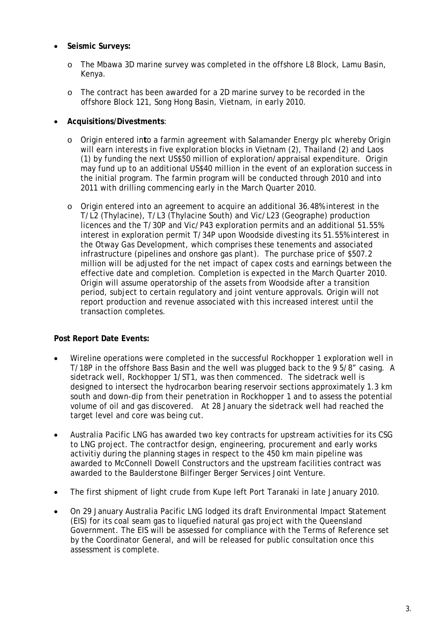- **Seismic Surveys:** 
	- o The Mbawa 3D marine survey was completed in the offshore L8 Block, Lamu Basin, Kenya.
	- o The contract has been awarded for a 2D marine survey to be recorded in the offshore Block 121, Song Hong Basin, Vietnam, in early 2010.
- **Acquisitions/Divestments**:
	- o Origin entered in**t**o a farmin agreement with Salamander Energy plc whereby Origin will earn interests in five exploration blocks in Vietnam (2), Thailand (2) and Laos (1) by funding the next US\$50 million of exploration/appraisal expenditure. Origin may fund up to an additional US\$40 million in the event of an exploration success in the initial program. The farmin program will be conducted through 2010 and into 2011 with drilling commencing early in the March Quarter 2010.
	- o Origin entered into an agreement to acquire an additional 36.48% interest in the T/L2 (Thylacine), T/L3 (Thylacine South) and Vic/L23 (Geographe) production licences and the T/30P and Vic/P43 exploration permits and an additional 51.55% interest in exploration permit T/34P upon Woodside divesting its 51.55% interest in the Otway Gas Development, which comprises these tenements and associated infrastructure (pipelines and onshore gas plant). The purchase price of \$507.2 million will be adjusted for the net impact of capex costs and earnings between the effective date and completion. Completion is expected in the March Quarter 2010. Origin will assume operatorship of the assets from Woodside after a transition period, subject to certain regulatory and joint venture approvals. Origin will not report production and revenue associated with this increased interest until the transaction completes.

#### **Post Report Date Events:**

- Wireline operations were completed in the successful Rockhopper 1 exploration well in T/18P in the offshore Bass Basin and the well was plugged back to the 9 5/8" casing. A sidetrack well, Rockhopper 1/ST1, was then commenced. The sidetrack well is designed to intersect the hydrocarbon bearing reservoir sections approximately 1.3 km south and down-dip from their penetration in Rockhopper 1 and to assess the potential volume of oil and gas discovered. At 28 January the sidetrack well had reached the target level and core was being cut.
- Australia Pacific LNG has awarded two key contracts for upstream activities for its CSG to LNG project. The contractfor design, engineering, procurement and early works activitiy during the planning stages in respect to the 450 km main pipeline was awarded to McConnell Dowell Constructors and the upstream facilities contract was awarded to the Baulderstone Bilfinger Berger Services Joint Venture.
- The first shipment of light crude from Kupe left Port Taranaki in late January 2010.
- On 29 January Australia Pacific LNG lodged its draft Environmental Impact Statement (EIS) for its coal seam gas to liquefied natural gas project with the Queensland Government. The EIS will be assessed for compliance with the Terms of Reference set by the Coordinator General, and will be released for public consultation once this assessment is complete.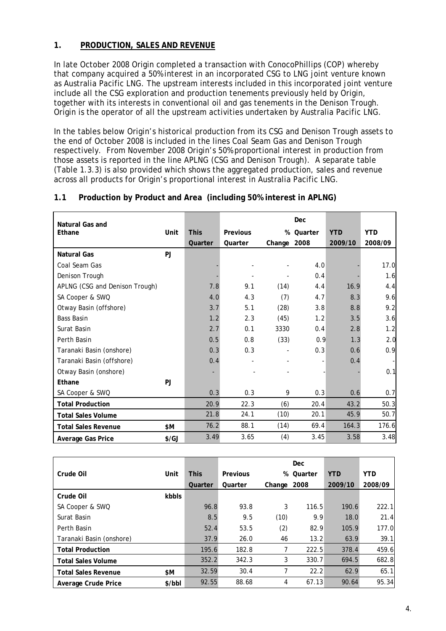## **1. PRODUCTION, SALES AND REVENUE**

In late October 2008 Origin completed a transaction with ConocoPhillips (COP) whereby that company acquired a 50% interest in an incorporated CSG to LNG joint venture known as Australia Pacific LNG. The upstream interests included in this incorporated joint venture include all the CSG exploration and production tenements previously held by Origin, together with its interests in conventional oil and gas tenements in the Denison Trough. Origin is the operator of all the upstream activities undertaken by Australia Pacific LNG.

In the tables below Origin's historical production from its CSG and Denison Trough assets to the end of October 2008 is included in the lines *Coal Seam Gas* and *Denison Trough* respectively. From November 2008 Origin's 50% proportional interest in production from those assets is reported in the line *APLNG (CSG and Denison Trough)*. A separate table (Table 1.3.3) is also provided which shows the aggregated production, sales and revenue across all products for Origin's proportional interest in Australia Pacific LNG.

## **1.1 Production by Product and Area (including 50% interest in APLNG)**

| <b>Natural Gas and</b>         |               |             |          |                          | Dec     |            |                |
|--------------------------------|---------------|-------------|----------|--------------------------|---------|------------|----------------|
| Ethane                         | Unit          | <b>This</b> | Previous | %                        | Quarter | <b>YTD</b> | <b>YTD</b>     |
|                                |               | Quarter     | Quarter  | Change 2008              |         | 2009/10    | 2008/09        |
| <b>Natural Gas</b>             | <b>PJ</b>     |             |          |                          |         |            |                |
| Coal Seam Gas                  |               |             |          |                          | 4.0     |            | 17.0           |
| Denison Trough                 |               |             |          |                          | 0.4     |            | 1.6            |
| APLNG (CSG and Denison Trough) |               | 7.8         | 9.1      | (14)                     | 4.4     | 16.9       | 4.4            |
| SA Cooper & SWQ                |               | 4.0         | 4.3      | (7)                      | 4.7     | 8.3        | 9.6            |
| Otway Basin (offshore)         |               | 3.7         | 5.1      | (28)                     | 3.8     | 8.8        | 9.2            |
| <b>Bass Basin</b>              |               | 1.2         | 2.3      | (45)                     | 1.2     | 3.5        | 3.6            |
| Surat Basin                    |               | 2.7         | 0.1      | 3330                     | 0.4     | 2.8        | 1.2            |
| Perth Basin                    |               | 0.5         | 0.8      | (33)                     | 0.9     | 1.3        | 2.0            |
| Taranaki Basin (onshore)       |               | 0.3         | 0.3      | $\overline{\phantom{0}}$ | 0.3     | 0.6        | 0.9            |
| Taranaki Basin (offshore)      |               | 0.4         |          |                          |         | 0.4        | $\blacksquare$ |
| Otway Basin (onshore)          |               |             |          |                          |         |            | 0.1            |
| Ethane                         | <b>PJ</b>     |             |          |                          |         |            |                |
| SA Cooper & SWQ                |               | 0.3         | 0.3      | 9                        | 0.3     | 0.6        | 0.7            |
| <b>Total Production</b>        |               | 20.9        | 22.3     | (6)                      | 20.4    | 43.2       | 50.3           |
| <b>Total Sales Volume</b>      |               | 21.8        | 24.1     | (10)                     | 20.1    | 45.9       | 50.7           |
| <b>Total Sales Revenue</b>     | \$M           | 76.2        | 88.1     | (14)                     | 69.4    | 164.3      | 176.6          |
| Average Gas Price              | $\frac{f}{G}$ | 3.49        | 3.65     | (4)                      | 3.45    | 3.58       | 3.48           |

|                            |        |             |          |             | <b>Dec</b> |            |            |
|----------------------------|--------|-------------|----------|-------------|------------|------------|------------|
| Crude Oil                  | Unit   | <b>This</b> | Previous | %           | Quarter    | <b>YTD</b> | <b>YTD</b> |
|                            |        | Quarter     | Quarter  | Change 2008 |            | 2009/10    | 2008/09    |
| Crude Oil                  | kbbls  |             |          |             |            |            |            |
| SA Cooper & SWQ            |        | 96.8        | 93.8     | 3           | 116.5      | 190.6      | 222.1      |
| Surat Basin                |        | 8.5         | 9.5      | (10)        | 9.9        | 18.0       | 21.4       |
| Perth Basin                |        | 52.4        | 53.5     | (2)         | 82.9       | 105.9      | 177.0      |
| Taranaki Basin (onshore)   |        | 37.9        | 26.0     | 46          | 13.2       | 63.9       | 39.1       |
| <b>Total Production</b>    |        | 195.6       | 182.8    |             | 222.5      | 378.4      | 459.6      |
| <b>Total Sales Volume</b>  |        | 352.2       | 342.3    | 3           | 330.7      | 694.5      | 682.8      |
| <b>Total Sales Revenue</b> | \$M    | 32.59       | 30.4     |             | 22.2       | 62.9       | 65.1       |
| Average Crude Price        | \$/bbI | 92.55       | 88.68    | 4           | 67.13      | 90.64      | 95.34      |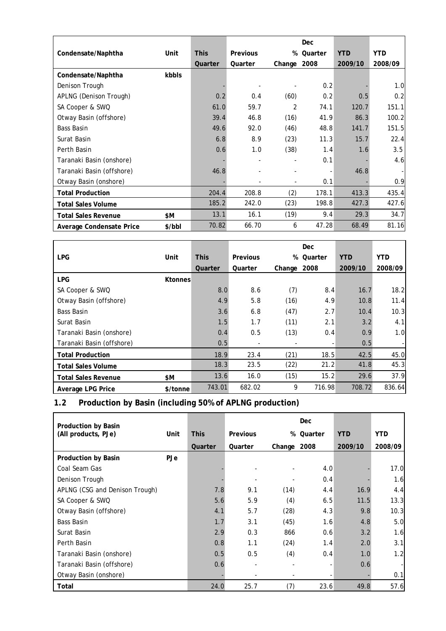|                            |        |             |                 |                | Dec     |            |            |
|----------------------------|--------|-------------|-----------------|----------------|---------|------------|------------|
| Condensate/Naphtha         | Unit   | <b>This</b> | <b>Previous</b> | %              | Quarter | <b>YTD</b> | <b>YTD</b> |
|                            |        | Quarter     | Quarter         | Change         | 2008    | 2009/10    | 2008/09    |
| Condensate/Naphtha         | kbbls  |             |                 |                |         |            |            |
| Denison Trough             |        |             |                 |                | 0.2     |            | 1.0        |
| APLNG (Denison Trough)     |        | 0.2         | 0.4             | (60)           | 0.2     | 0.5        | 0.2        |
| SA Cooper & SWQ            |        | 61.0        | 59.7            | $\overline{2}$ | 74.1    | 120.7      | 151.1      |
| Otway Basin (offshore)     |        | 39.4        | 46.8            | (16)           | 41.9    | 86.3       | 100.2      |
| <b>Bass Basin</b>          |        | 49.6        | 92.0            | (46)           | 48.8    | 141.7      | 151.5      |
| Surat Basin                |        | 6.8         | 8.9             | (23)           | 11.3    | 15.7       | 22.4       |
| Perth Basin                |        | 0.6         | 1.0             | (38)           | 1.4     | 1.6        | 3.5        |
| Taranaki Basin (onshore)   |        |             |                 |                | 0.1     |            | 4.6        |
| Taranaki Basin (offshore)  |        | 46.8        |                 |                |         | 46.8       |            |
| Otway Basin (onshore)      |        |             |                 | ۰              | 0.1     |            | 0.9        |
| <b>Total Production</b>    |        | 204.4       | 208.8           | (2)            | 178.1   | 413.3      | 435.4      |
| <b>Total Sales Volume</b>  |        | 185.2       | 242.0           | (23)           | 198.8   | 427.3      | 427.6      |
| <b>Total Sales Revenue</b> | \$M    | 13.1        | 16.1            | (19)           | 9.4     | 29.3       | 34.7       |
| Average Condensate Price   | \$/bbI | 70.82       | 66.70           | 6              | 47.28   | 68.49      | 81.16      |

|                            |                |             |          |        | Dec     |            |            |
|----------------------------|----------------|-------------|----------|--------|---------|------------|------------|
| <b>LPG</b>                 | Unit           | <b>This</b> | Previous | %      | Quarter | <b>YTD</b> | <b>YTD</b> |
|                            |                | Quarter     | Quarter  | Change | 2008    | 2009/10    | 2008/09    |
| <b>LPG</b>                 | <b>Ktonnes</b> |             |          |        |         |            |            |
| SA Cooper & SWQ            |                | 8.0         | 8.6      | (7)    | 8.4     | 16.7       | 18.2       |
| Otway Basin (offshore)     |                | 4.9         | 5.8      | (16)   | 4.9     | 10.8       | 11.4       |
| <b>Bass Basin</b>          |                | 3.6         | 6.8      | (47)   | 2.7     | 10.4       | 10.3       |
| Surat Basin                |                | 1.5         | 1.7      | (11)   | 2.1     | 3.2        | 4.1        |
| Taranaki Basin (onshore)   |                | 0.4         | 0.5      | (13)   | 0.4     | 0.9        | 1.0        |
| Taranaki Basin (offshore)  |                | 0.5         |          | -      |         | 0.5        |            |
| <b>Total Production</b>    |                | 18.9        | 23.4     | (21)   | 18.5    | 42.5       | 45.0       |
| <b>Total Sales Volume</b>  |                | 18.3        | 23.5     | (22)   | 21.2    | 41.8       | 45.3       |
| <b>Total Sales Revenue</b> | \$M            | 13.6        | 16.0     | (15)   | 15.2    | 29.6       | 37.9       |
| Average LPG Price          | \$/tonne       | 743.01      | 682.02   | 9      | 716.98  | 708.72     | 836.64     |

# **1.2 Production by Basin (including 50% of APLNG production)**

| <b>Production by Basin</b>     |            |             |          |             | Dec     |            |            |
|--------------------------------|------------|-------------|----------|-------------|---------|------------|------------|
| (All products, PJe)            | Unit       | <b>This</b> | Previous | %           | Quarter | <b>YTD</b> | <b>YTD</b> |
|                                |            | Quarter     | Quarter  | Change 2008 |         | 2009/10    | 2008/09    |
| <b>Production by Basin</b>     | <b>PJe</b> |             |          |             |         |            |            |
| Coal Seam Gas                  |            |             |          |             | 4.0     |            | 17.0       |
| Denison Trough                 |            |             |          |             | 0.4     |            | 1.6        |
| APLNG (CSG and Denison Trough) |            | 7.8         | 9.1      | (14)        | 4.4     | 16.9       | 4.4        |
| SA Cooper & SWQ                |            | 5.6         | 5.9      | (4)         | 6.5     | 11.5       | 13.3       |
| Otway Basin (offshore)         |            | 4.1         | 5.7      | (28)        | 4.3     | 9.8        | 10.3       |
| <b>Bass Basin</b>              |            | 1.7         | 3.1      | (45)        | 1.6     | 4.8        | 5.0        |
| Surat Basin                    |            | 2.9         | 0.3      | 866         | 0.6     | 3.2        | 1.6        |
| Perth Basin                    |            | 0.8         | 1.1      | (24)        | 1.4     | 2.0        | 3.1        |
| Taranaki Basin (onshore)       |            | 0.5         | 0.5      | (4)         | 0.4     | 1.0        | 1.2        |
| Taranaki Basin (offshore)      |            | 0.6         |          |             |         | 0.6        |            |
| Otway Basin (onshore)          |            |             |          |             |         |            | 0.1        |
| Total                          |            | 24.0        | 25.7     | (7)         | 23.6    | 49.8       | 57.6       |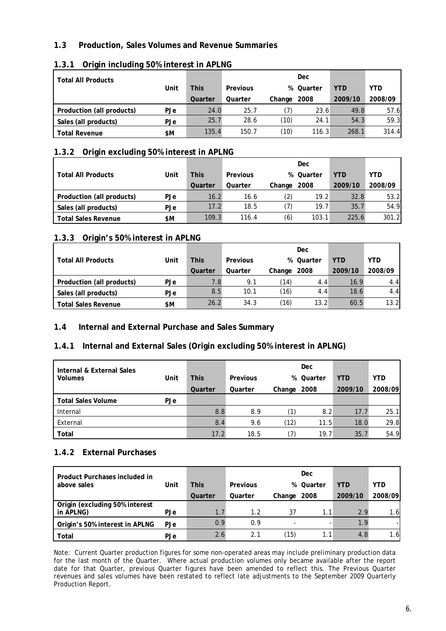## **1.3 Production, Sales Volumes and Revenue Summaries**

| <b>Total All Products</b> |            |             |          |             | <b>Dec</b> |            |         |
|---------------------------|------------|-------------|----------|-------------|------------|------------|---------|
| Unit                      |            | <b>This</b> | Previous |             | % Quarter  | <b>YTD</b> | YTD     |
|                           |            | Quarter     | Quarter  | Change 2008 |            | 2009/10    | 2008/09 |
| Production (all products) | PJe        | 24.0        | 25.7     |             | 23.6       | 49.8       | 57.6    |
| Sales (all products)      | <b>PJe</b> | 25.7        | 28.6     | (10)        | 24.1       | 54.3       | 59.3    |
| <b>Total Revenue</b>      | \$M        | 135.4       | 150.7    | (10)        | 116.3      | 268.1      | 314.4   |

#### **1.3.1 Origin including 50% interest in APLNG**

## **1.3.2 Origin excluding 50% interest in APLNG**

|                            |            |             |          |             | <b>Dec</b> |         |            |
|----------------------------|------------|-------------|----------|-------------|------------|---------|------------|
| <b>Total All Products</b>  | Unit       | <b>This</b> | Previous |             | % Quarter  | YTD     | <b>YTD</b> |
|                            |            | Quarter     | Quarter  | Change 2008 |            | 2009/10 | 2008/09    |
| Production (all products)  | <b>PJe</b> | 16.2        | 16.6     | (2)         | 19.2       | 32.8    | 53.2       |
| Sales (all products)       | <b>PJe</b> | 17.2        | 18.5     | (7)         | 19.7       | 35.7    | 54.9       |
| <b>Total Sales Revenue</b> | \$M        | 109.3       | 116.4    | (6)         | 103.1      | 225.6   | 301.2      |

## **1.3.3 Origin's 50% interest in APLNG**

|                            |            |             |          |             | Dec       |            |            |
|----------------------------|------------|-------------|----------|-------------|-----------|------------|------------|
| <b>Total All Products</b>  | Unit       | <b>This</b> | Previous |             | % Quarter | <b>YTD</b> | <b>YTD</b> |
|                            |            | Quarter     | Quarter  | Change 2008 |           | 2009/10    | 2008/09    |
| Production (all products)  | <b>PJe</b> | 7.8         | 9.1      | (14)        | 4.4       | 16.9       | 4.4        |
| Sales (all products)       | <b>PJe</b> | 8.5         | 10.1     | (16)        | 4.4       | 18.6       | 4.4        |
| <b>Total Sales Revenue</b> | \$M        | 26.2        | 34.3     | (16)        | 13.2      | 60.5       | 13.2       |

#### **1.4 Internal and External Purchase and Sales Summary**

#### **1.4.1 Internal and External Sales (Origin excluding 50% interest in APLNG)**

| Internal & External Sales |            |             |          |             | <b>Dec</b> |            |            |
|---------------------------|------------|-------------|----------|-------------|------------|------------|------------|
| <b>Volumes</b>            | Unit       | <b>This</b> | Previous |             | % Quarter  | <b>YTD</b> | <b>YTD</b> |
|                           |            | Quarter     | Quarter  | Change 2008 |            | 2009/10    | 2008/09    |
| <b>Total Sales Volume</b> | <b>PJe</b> |             |          |             |            |            |            |
| Internal                  |            | 8.8         | 8.9      |             | 8.2        | 17.7       | 25.1       |
| External                  |            | 8.4         | 9.6      | (12)        | 11.5       | 18.0       | 29.8       |
| Total                     |            | 17.2        | 18.5     |             | 19.7       | 35.7       | 54.9       |

## **1.4.2 External Purchases**

| Product Purchases included in  |            |             |          |             | Dec       |            |                  |
|--------------------------------|------------|-------------|----------|-------------|-----------|------------|------------------|
| above sales                    | Unit       | <b>This</b> | Previous |             | % Quarter | <b>YTD</b> | YTD              |
|                                |            | Quarter     | Quarter  | Change 2008 |           | 2009/10    | 2008/09          |
| Origin (excluding 50% interest |            |             |          |             |           |            |                  |
| in APLNG)                      | PJe        |             | 1.2      | 37          |           | 2.9        | 1.6              |
| Origin's 50% interest in APLNG | PJe        | 0.9         | 0.9      |             |           | 1.9        |                  |
| Total                          | <b>PJe</b> | 2.6         | 2.1      | (15)        |           | 4.8        | 1.6 <sub>l</sub> |

Note: Current Quarter production figures for some non-operated areas may include preliminary production data for the last month of the Quarter. Where actual production volumes only became available after the report date for that Quarter, previous Quarter figures have been amended to reflect this. The Previous Quarter revenues and sales volumes have been restated to reflect late adjustments to the September 2009 Quarterly Production Report.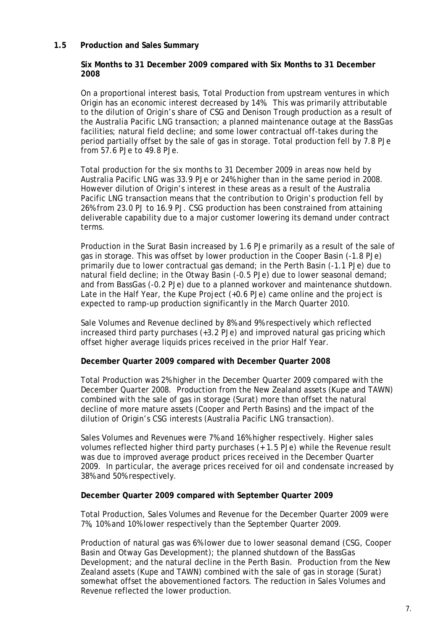#### **1.5 Production and Sales Summary**

#### **Six Months to 31 December 2009 compared with Six Months to 31 December 2008**

On a proportional interest basis, Total Production from upstream ventures in which Origin has an economic interest decreased by 14%. This was primarily attributable to the dilution of Origin's share of CSG and Denison Trough production as a result of the Australia Pacific LNG transaction; a planned maintenance outage at the BassGas facilities; natural field decline; and some lower contractual off-takes during the period partially offset by the sale of gas in storage. Total production fell by 7.8 PJe from 57.6 PJe to 49.8 PJe.

Total production for the six months to 31 December 2009 in areas now held by Australia Pacific LNG was 33.9 PJe or 24% higher than in the same period in 2008. However dilution of Origin's interest in these areas as a result of the Australia Pacific LNG transaction means that the contribution to Origin's production fell by 26% from 23.0 PJ to 16.9 PJ. CSG production has been constrained from attaining deliverable capability due to a major customer lowering its demand under contract terms.

Production in the Surat Basin increased by 1.6 PJe primarily as a result of the sale of gas in storage. This was offset by lower production in the Cooper Basin (-1.8 PJe) primarily due to lower contractual gas demand; in the Perth Basin (-1.1 PJe) due to natural field decline; in the Otway Basin (-0.5 PJe) due to lower seasonal demand; and from BassGas (-0.2 PJe) due to a planned workover and maintenance shutdown. Late in the Half Year, the Kupe Project (+0.6 PJe) came online and the project is expected to ramp-up production significantly in the March Quarter 2010.

Sale Volumes and Revenue declined by 8% and 9% respectively which reflected increased third party purchases (+3.2 PJe) and improved natural gas pricing which offset higher average liquids prices received in the prior Half Year.

#### **December Quarter 2009 compared with December Quarter 2008**

Total Production was 2% higher in the December Quarter 2009 compared with the December Quarter 2008. Production from the New Zealand assets (Kupe and TAWN) combined with the sale of gas in storage (Surat) more than offset the natural decline of more mature assets (Cooper and Perth Basins) and the impact of the dilution of Origin's CSG interests (Australia Pacific LNG transaction).

Sales Volumes and Revenues were 7% and 16% higher respectively. Higher sales volumes reflected higher third party purchases (+ 1.5 PJe) while the Revenue result was due to improved average product prices received in the December Quarter 2009. In particular, the average prices received for oil and condensate increased by 38% and 50% respectively.

#### **December Quarter 2009 compared with September Quarter 2009**

Total Production, Sales Volumes and Revenue for the December Quarter 2009 were 7%, 10% and 10% lower respectively than the September Quarter 2009.

Production of natural gas was 6% lower due to lower seasonal demand (CSG, Cooper Basin and Otway Gas Development); the planned shutdown of the BassGas Development; and the natural decline in the Perth Basin. Production from the New Zealand assets (Kupe and TAWN) combined with the sale of gas in storage (Surat) somewhat offset the abovementioned factors. The reduction in Sales Volumes and Revenue reflected the lower production.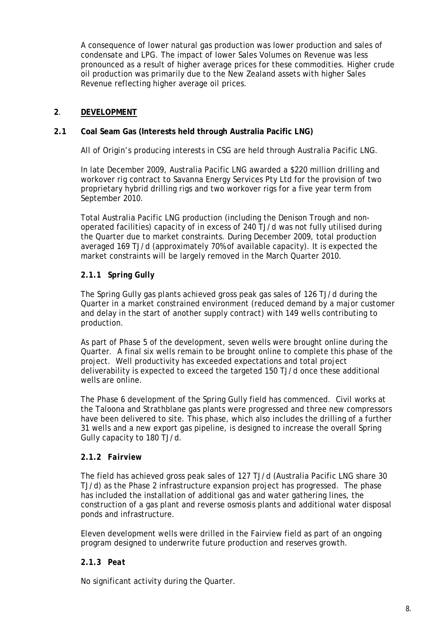A consequence of lower natural gas production was lower production and sales of condensate and LPG. The impact of lower Sales Volumes on Revenue was less pronounced as a result of higher average prices for these commodities. Higher crude oil production was primarily due to the New Zealand assets with higher Sales Revenue reflecting higher average oil prices.

## **2**. **DEVELOPMENT**

#### **2.1 Coal Seam Gas (Interests held through Australia Pacific LNG)**

All of Origin's producing interests in CSG are held through Australia Pacific LNG.

In late December 2009, Australia Pacific LNG awarded a \$220 million drilling and workover rig contract to Savanna Energy Services Pty Ltd for the provision of two proprietary hybrid drilling rigs and two workover rigs for a five year term from September 2010.

Total Australia Pacific LNG production (including the Denison Trough and nonoperated facilities) capacity of in excess of 240 TJ/d was not fully utilised during the Quarter due to market constraints. During December 2009, total production averaged 169 TJ/d (approximately 70% of available capacity). It is expected the market constraints will be largely removed in the March Quarter 2010.

## **2.1.1** *Spring Gully*

The Spring Gully gas plants achieved gross peak gas sales of 126 TJ/d during the Quarter in a market constrained environment (reduced demand by a major customer and delay in the start of another supply contract) with 149 wells contributing to production.

As part of Phase 5 of the development, seven wells were brought online during the Quarter. A final six wells remain to be brought online to complete this phase of the project. Well productivity has exceeded expectations and total project deliverability is expected to exceed the targeted 150 TJ/d once these additional wells are online.

The Phase 6 development of the Spring Gully field has commenced. Civil works at the Taloona and Strathblane gas plants were progressed and three new compressors have been delivered to site. This phase, which also includes the drilling of a further 31 wells and a new export gas pipeline, is designed to increase the overall Spring Gully capacity to 180 TJ/d.

#### **2.1.2** *Fairview*

The field has achieved gross peak sales of 127 TJ/d (Australia Pacific LNG share 30 TJ/d) as the Phase 2 infrastructure expansion project has progressed. The phase has included the installation of additional gas and water gathering lines, the construction of a gas plant and reverse osmosis plants and additional water disposal ponds and infrastructure.

Eleven development wells were drilled in the Fairview field as part of an ongoing program designed to underwrite future production and reserves growth.

#### **2.1.3** *Peat*

No significant activity during the Quarter.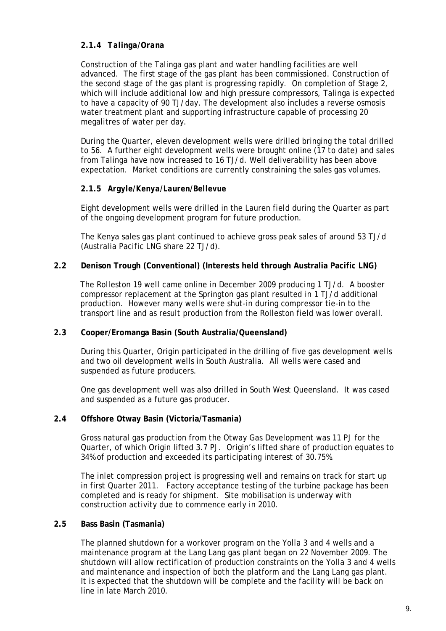## **2.1.4** *Talinga/Orana*

Construction of the Talinga gas plant and water handling facilities are well advanced. The first stage of the gas plant has been commissioned. Construction of the second stage of the gas plant is progressing rapidly. On completion of Stage 2, which will include additional low and high pressure compressors, Talinga is expected to have a capacity of 90 TJ/day. The development also includes a reverse osmosis water treatment plant and supporting infrastructure capable of processing 20 megalitres of water per day.

During the Quarter, eleven development wells were drilled bringing the total drilled to 56. A further eight development wells were brought online (17 to date) and sales from Talinga have now increased to 16 TJ/d. Well deliverability has been above expectation. Market conditions are currently constraining the sales gas volumes.

#### **2.1.5** *Argyle/Kenya/Lauren/Bellevue*

Eight development wells were drilled in the Lauren field during the Quarter as part of the ongoing development program for future production.

The Kenya sales gas plant continued to achieve gross peak sales of around 53 TJ/d (Australia Pacific LNG share 22 TJ/d).

#### **2.2 Denison Trough (Conventional) (Interests held through Australia Pacific LNG)**

The Rolleston 19 well came online in December 2009 producing 1 TJ/d. A booster compressor replacement at the Springton gas plant resulted in 1 TJ/d additional production. However many wells were shut-in during compressor tie-in to the transport line and as result production from the Rolleston field was lower overall.

#### **2.3 Cooper/Eromanga Basin (South Australia/Queensland)**

During this Quarter, Origin participated in the drilling of five gas development wells and two oil development wells in South Australia. All wells were cased and suspended as future producers.

One gas development well was also drilled in South West Queensland. It was cased and suspended as a future gas producer.

#### **2.4 Offshore Otway Basin (Victoria/Tasmania)**

Gross natural gas production from the Otway Gas Development was 11 PJ for the Quarter, of which Origin lifted 3.7 PJ. Origin's lifted share of production equates to 34% of production and exceeded its participating interest of 30.75%.

The inlet compression project is progressing well and remains on track for start up in first Quarter 2011. Factory acceptance testing of the turbine package has been completed and is ready for shipment. Site mobilisation is underway with construction activity due to commence early in 2010.

#### **2.5 Bass Basin (Tasmania)**

The planned shutdown for a workover program on the Yolla 3 and 4 wells and a maintenance program at the Lang Lang gas plant began on 22 November 2009. The shutdown will allow rectification of production constraints on the Yolla 3 and 4 wells and maintenance and inspection of both the platform and the Lang Lang gas plant. It is expected that the shutdown will be complete and the facility will be back on line in late March 2010.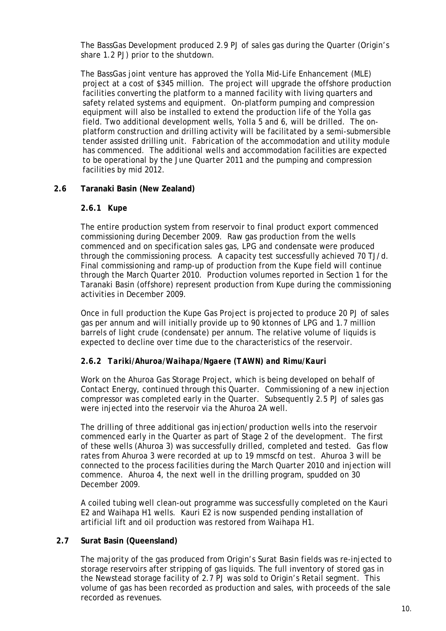The BassGas Development produced 2.9 PJ of sales gas during the Quarter (Origin's share 1.2 PJ) prior to the shutdown.

The BassGas joint venture has approved the Yolla Mid-Life Enhancement (MLE) project at a cost of \$345 million. The project will upgrade the offshore production facilities converting the platform to a manned facility with living quarters and safety related systems and equipment. On-platform pumping and compression equipment will also be installed to extend the production life of the Yolla gas field. Two additional development wells, Yolla 5 and 6, will be drilled. The onplatform construction and drilling activity will be facilitated by a semi-submersible tender assisted drilling unit. Fabrication of the accommodation and utility module has commenced. The additional wells and accommodation facilities are expected to be operational by the June Quarter 2011 and the pumping and compression facilities by mid 2012.

## **2.6 Taranaki Basin (New Zealand)**

#### **2.6.1** *Kupe*

The entire production system from reservoir to final product export commenced commissioning during December 2009. Raw gas production from the wells commenced and on specification sales gas, LPG and condensate were produced through the commissioning process. A capacity test successfully achieved 70 TJ/d. Final commissioning and ramp-up of production from the Kupe field will continue through the March Quarter 2010. Production volumes reported in Section 1 for the Taranaki Basin (offshore) represent production from Kupe during the commissioning activities in December 2009.

Once in full production the Kupe Gas Project is projected to produce 20 PJ of sales gas per annum and will initially provide up to 90 ktonnes of LPG and 1.7 million barrels of light crude (condensate) per annum. The relative volume of liquids is expected to decline over time due to the characteristics of the reservoir.

#### **2.6.2** *Tariki/Ahuroa/Waihapa/Ngaere (TAWN) and Rimu/Kauri*

Work on the Ahuroa Gas Storage Project, which is being developed on behalf of Contact Energy, continued through this Quarter. Commissioning of a new injection compressor was completed early in the Quarter. Subsequently 2.5 PJ of sales gas were injected into the reservoir via the Ahuroa 2A well.

The drilling of three additional gas injection/production wells into the reservoir commenced early in the Quarter as part of Stage 2 of the development. The first of these wells (Ahuroa 3) was successfully drilled, completed and tested. Gas flow rates from Ahuroa 3 were recorded at up to 19 mmscfd on test. Ahuroa 3 will be connected to the process facilities during the March Quarter 2010 and injection will commence. Ahuroa 4, the next well in the drilling program, spudded on 30 December 2009.

A coiled tubing well clean-out programme was successfully completed on the Kauri E2 and Waihapa H1 wells. Kauri E2 is now suspended pending installation of artificial lift and oil production was restored from Waihapa H1.

#### **2.7 Surat Basin (Queensland)**

The majority of the gas produced from Origin's Surat Basin fields was re-injected to storage reservoirs after stripping of gas liquids. The full inventory of stored gas in the Newstead storage facility of 2.7 PJ was sold to Origin's Retail segment. This volume of gas has been recorded as production and sales, with proceeds of the sale recorded as revenues.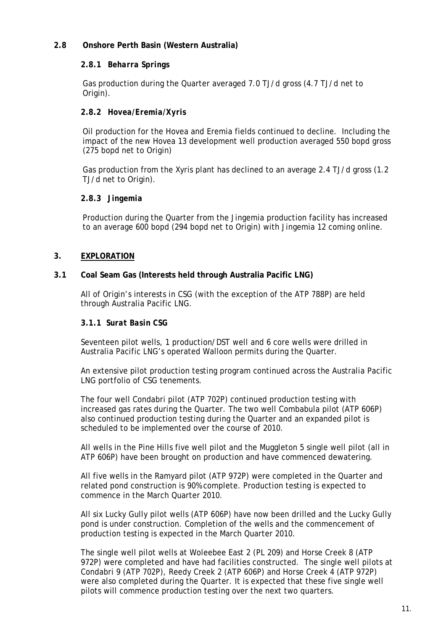## **2.8 Onshore Perth Basin (Western Australia)**

#### **2.8.1** *Beharra Springs*

 Gas production during the Quarter averaged 7.0 TJ/d gross (4.7 TJ/d net to Origin).

#### **2.8.2** *Hovea/Eremia/Xyris*

 Oil production for the Hovea and Eremia fields continued to decline. Including the impact of the new Hovea 13 development well production averaged 550 bopd gross (275 bopd net to Origin)

 Gas production from the Xyris plant has declined to an average 2.4 TJ/d gross (1.2 TJ/d net to Origin).

#### **2.8.3** *Jingemia*

 Production during the Quarter from the Jingemia production facility has increased to an average 600 bopd (294 bopd net to Origin) with Jingemia 12 coming online.

#### **3. EXPLORATION**

#### **3.1 Coal Seam Gas (Interests held through Australia Pacific LNG)**

All of Origin's interests in CSG (with the exception of the ATP 788P) are held through Australia Pacific LNG.

#### **3.1.1** *Surat Basin CSG*

Seventeen pilot wells, 1 production/DST well and 6 core wells were drilled in Australia Pacific LNG's operated Walloon permits during the Quarter.

An extensive pilot production testing program continued across the Australia Pacific LNG portfolio of CSG tenements.

The four well Condabri pilot (ATP 702P) continued production testing with increased gas rates during the Quarter. The two well Combabula pilot (ATP 606P) also continued production testing during the Quarter and an expanded pilot is scheduled to be implemented over the course of 2010.

All wells in the Pine Hills five well pilot and the Muggleton 5 single well pilot (all in ATP 606P) have been brought on production and have commenced dewatering.

All five wells in the Ramyard pilot (ATP 972P) were completed in the Quarter and related pond construction is 90% complete. Production testing is expected to commence in the March Quarter 2010.

All six Lucky Gully pilot wells (ATP 606P) have now been drilled and the Lucky Gully pond is under construction. Completion of the wells and the commencement of production testing is expected in the March Quarter 2010.

The single well pilot wells at Woleebee East 2 (PL 209) and Horse Creek 8 (ATP 972P) were completed and have had facilities constructed. The single well pilots at Condabri 9 (ATP 702P), Reedy Creek 2 (ATP 606P) and Horse Creek 4 (ATP 972P) were also completed during the Quarter. It is expected that these five single well pilots will commence production testing over the next two quarters.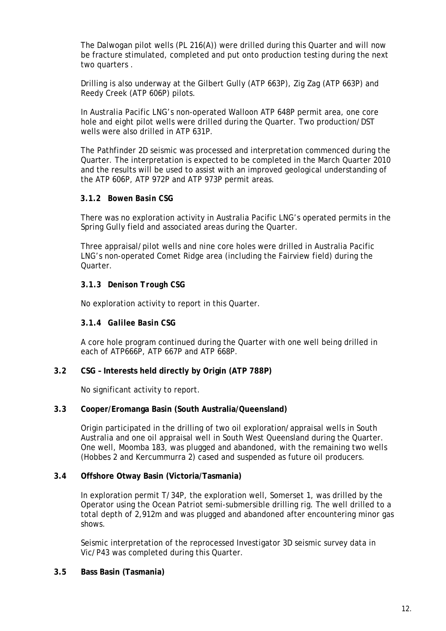The Dalwogan pilot wells (PL 216(A)) were drilled during this Quarter and will now be fracture stimulated, completed and put onto production testing during the next two quarters .

Drilling is also underway at the Gilbert Gully (ATP 663P), Zig Zag (ATP 663P) and Reedy Creek (ATP 606P) pilots.

In Australia Pacific LNG's non-operated Walloon ATP 648P permit area, one core hole and eight pilot wells were drilled during the Quarter. Two production/DST wells were also drilled in ATP 631P.

The Pathfinder 2D seismic was processed and interpretation commenced during the Quarter. The interpretation is expected to be completed in the March Quarter 2010 and the results will be used to assist with an improved geological understanding of the ATP 606P, ATP 972P and ATP 973P permit areas.

#### **3.1.2** *Bowen Basin CSG*

There was no exploration activity in Australia Pacific LNG's operated permits in the Spring Gully field and associated areas during the Quarter.

Three appraisal/pilot wells and nine core holes were drilled in Australia Pacific LNG's non-operated Comet Ridge area (including the Fairview field) during the Quarter.

#### **3.1.3** *Denison Trough CSG*

No exploration activity to report in this Quarter.

#### **3.1.4** *Galilee Basin CSG*

A core hole program continued during the Quarter with one well being drilled in each of ATP666P, ATP 667P and ATP 668P.

#### **3.2 CSG – Interests held directly by Origin (ATP 788P)**

No significant activity to report.

#### **3.3 Cooper/Eromanga Basin (South Australia/Queensland)**

Origin participated in the drilling of two oil exploration/appraisal wells in South Australia and one oil appraisal well in South West Queensland during the Quarter. One well, Moomba 183, was plugged and abandoned, with the remaining two wells (Hobbes 2 and Kercummurra 2) cased and suspended as future oil producers.

#### **3.4 Offshore Otway Basin (Victoria/Tasmania)**

In exploration permit T/34P, the exploration well, Somerset 1, was drilled by the Operator using the Ocean Patriot semi-submersible drilling rig. The well drilled to a total depth of 2,912m and was plugged and abandoned after encountering minor gas shows.

Seismic interpretation of the reprocessed Investigator 3D seismic survey data in Vic/P43 was completed during this Quarter.

**3.5 Bass Basin (Tasmania)**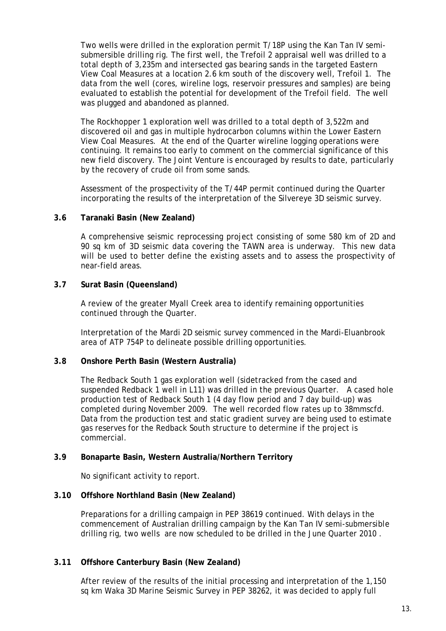Two wells were drilled in the exploration permit T/18P using the Kan Tan IV semisubmersible drilling rig. The first well, the Trefoil 2 appraisal well was drilled to a total depth of 3,235m and intersected gas bearing sands in the targeted Eastern View Coal Measures at a location 2.6 km south of the discovery well, Trefoil 1. The data from the well (cores, wireline logs, reservoir pressures and samples) are being evaluated to establish the potential for development of the Trefoil field. The well was plugged and abandoned as planned.

The Rockhopper 1 exploration well was drilled to a total depth of 3,522m and discovered oil and gas in multiple hydrocarbon columns within the Lower Eastern View Coal Measures. At the end of the Quarter wireline logging operations were continuing. It remains too early to comment on the commercial significance of this new field discovery. The Joint Venture is encouraged by results to date, particularly by the recovery of crude oil from some sands.

Assessment of the prospectivity of the T/44P permit continued during the Quarter incorporating the results of the interpretation of the Silvereye 3D seismic survey.

#### **3.6 Taranaki Basin (New Zealand)**

A comprehensive seismic reprocessing project consisting of some 580 km of 2D and 90 sq km of 3D seismic data covering the TAWN area is underway. This new data will be used to better define the existing assets and to assess the prospectivity of near-field areas.

#### **3.7 Surat Basin (Queensland)**

A review of the greater Myall Creek area to identify remaining opportunities continued through the Quarter.

Interpretation of the Mardi 2D seismic survey commenced in the Mardi-Eluanbrook area of ATP 754P to delineate possible drilling opportunities.

#### **3.8 Onshore Perth Basin (Western Australia)**

The Redback South 1 gas exploration well (sidetracked from the cased and suspended Redback 1 well in L11) was drilled in the previous Quarter. A cased hole production test of Redback South 1 (4 day flow period and 7 day build-up) was completed during November 2009. The well recorded flow rates up to 38mmscfd. Data from the production test and static gradient survey are being used to estimate gas reserves for the Redback South structure to determine if the project is commercial.

#### **3.9 Bonaparte Basin, Western Australia/Northern Territory**

No significant activity to report.

#### **3.10 Offshore Northland Basin (New Zealand)**

Preparations for a drilling campaign in PEP 38619 continued. With delays in the commencement of Australian drilling campaign by the Kan Tan IV semi-submersible drilling rig, two wells are now scheduled to be drilled in the June Quarter 2010 .

#### **3.11 Offshore Canterbury Basin (New Zealand)**

After review of the results of the initial processing and interpretation of the 1,150 sq km Waka 3D Marine Seismic Survey in PEP 38262, it was decided to apply full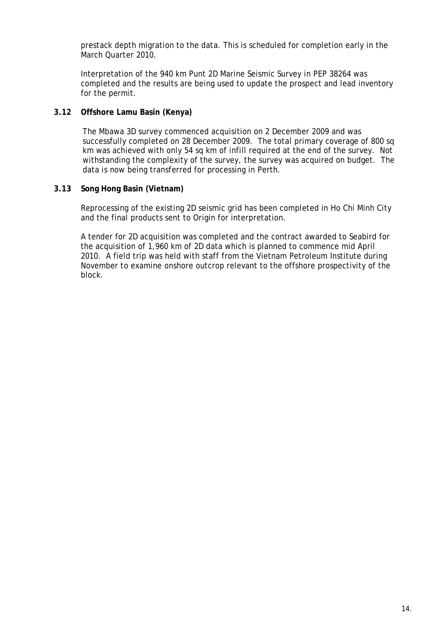prestack depth migration to the data. This is scheduled for completion early in the March Quarter 2010.

Interpretation of the 940 km Punt 2D Marine Seismic Survey in PEP 38264 was completed and the results are being used to update the prospect and lead inventory for the permit.

#### **3.12 Offshore Lamu Basin (Kenya)**

The Mbawa 3D survey commenced acquisition on 2 December 2009 and was successfully completed on 28 December 2009. The total primary coverage of 800 sq km was achieved with only 54 sq km of infill required at the end of the survey. Not withstanding the complexity of the survey, the survey was acquired on budget. The data is now being transferred for processing in Perth.

#### **3.13 Song Hong Basin (Vietnam)**

Reprocessing of the existing 2D seismic grid has been completed in Ho Chi Minh City and the final products sent to Origin for interpretation.

A tender for 2D acquisition was completed and the contract awarded to Seabird for the acquisition of 1,960 km of 2D data which is planned to commence mid April 2010. A field trip was held with staff from the Vietnam Petroleum Institute during November to examine onshore outcrop relevant to the offshore prospectivity of the block.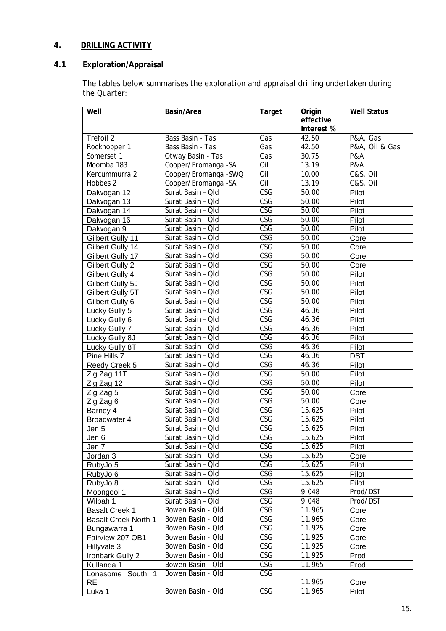## **4. DRILLING ACTIVITY**

## **4.1 Exploration/Appraisal**

The tables below summarises the exploration and appraisal drilling undertaken during the Quarter:

| Well                        | Basin/Area           | <b>Target</b>           | Origin                  | <b>Well Status</b>      |
|-----------------------------|----------------------|-------------------------|-------------------------|-------------------------|
|                             |                      |                         | effective<br>Interest % |                         |
| Trefoil 2                   | Bass Basin - Tas     | Gas                     | 42.50                   | P&A, Gas                |
| Rockhopper 1                | Bass Basin - Tas     | Gas                     | 42.50                   | P&A, Oil & Gas          |
| Somerset 1                  | Otway Basin - Tas    | Gas                     | 30.75                   | P&A                     |
| Moomba 183                  | Cooper/Eromanga - SA | Oil                     | 13.19                   | P&A                     |
| Kercummurra 2               | Cooper/Eromanga -SWQ | $\overline{O}$ il       | 10.00                   | $C&S,$ $\overline{OII}$ |
| Hobbes 2                    | Cooper/Eromanga -SA  | Oil                     | 13.19                   | C&S, Oil                |
| Dalwogan 12                 | Surat Basin - Old    | $\overline{\text{CSG}}$ | 50.00                   | Pilot                   |
| Dalwogan 13                 | Surat Basin - Qld    | $\overline{\text{CSG}}$ | 50.00                   | Pilot                   |
| Dalwogan 14                 | Surat Basin - Qld    | CSG                     | 50.00                   | Pilot                   |
| Dalwogan 16                 | Surat Basin - Old    | $\overline{\text{CSG}}$ | 50.00                   | Pilot                   |
| Dalwogan 9                  | Surat Basin - Qld    | $\overline{\text{CSG}}$ | 50.00                   | Pilot                   |
| Gilbert Gully 11            | Surat Basin - Qld    | $\overline{\text{CSG}}$ | 50.00                   | Core                    |
| Gilbert Gully 14            | Surat Basin - Qld    | $\overline{\text{CSG}}$ | 50.00                   | Core                    |
| Gilbert Gully 17            | Surat Basin - Qld    | $\overline{\text{CSG}}$ | 50.00                   | Core                    |
| Gilbert Gully 2             | Surat Basin - Qld    | CSG                     | 50.00                   | Core                    |
| Gilbert Gully 4             | Surat Basin - Qld    | CSG                     | 50.00                   | Pilot                   |
| Gilbert Gully 5J            | Surat Basin - Qld    | $\overline{\text{CSG}}$ | 50.00                   | Pilot                   |
| Gilbert Gully 5T            | Surat Basin - Qld    | $\overline{\text{CSG}}$ | 50.00                   | Pilot                   |
| Gilbert Gully 6             | Surat Basin - Qld    | $\overline{\text{CSG}}$ | 50.00                   | Pilot                   |
| Lucky Gully 5               | Surat Basin - Qld    | $\overline{\text{CSG}}$ | 46.36                   | Pilot                   |
| Lucky Gully 6               | Surat Basin - Qld    | $\overline{\text{CSG}}$ | 46.36                   | Pilot                   |
| Lucky Gully 7               | Surat Basin - Qld    | CSG                     | 46.36                   | Pilot                   |
| Lucky Gully 8J              | Surat Basin - Qld    | $\overline{\text{CSG}}$ | 46.36                   | Pilot                   |
| Lucky Gully 8T              | Surat Basin - Qld    | $\overline{\text{CSG}}$ | 46.36                   | Pilot                   |
| Pine Hills 7                | Surat Basin - Qld    | $\overline{\text{CSG}}$ | 46.36                   | <b>DST</b>              |
| Reedy Creek 5               | Surat Basin - Old    | $\overline{\text{CSG}}$ | 46.36                   | Pilot                   |
| Zig Zag 11T                 | Surat Basin - Qld    | $\overline{\text{CSG}}$ | 50.00                   | Pilot                   |
| Zig Zag 12                  | Surat Basin - Qld    | <b>CSG</b>              | 50.00                   | Pilot                   |
| Zig Zag 5                   | Surat Basin - Qld    | CSG                     | 50.00                   | Core                    |
| Zig Zag 6                   | Surat Basin - Old    | $\overline{\text{CSG}}$ | 50.00                   | Core                    |
| Barney 4                    | Surat Basin - Qld    | $\overline{\text{CSG}}$ | 15.625                  | Pilot                   |
| Broadwater 4                | Surat Basin - Qld    | <b>CSG</b>              | 15.625                  | Pilot                   |
| Jen 5                       | Surat Basin - Qld    | $\overline{\text{CSG}}$ | 15.625                  | Pilot                   |
| Jen 6                       | Surat Basin - Qld    | $\overline{\text{CSG}}$ | $15.\overline{625}$     | Pilot                   |
| Jen 7                       | Surat Basin - Qld    | CSG                     | 15.625                  | Pilot                   |
| Jordan $3$                  | Surat Basin - Qld    | $\overline{\text{CSG}}$ | 15.625                  | Core                    |
| RubyJo 5                    | Surat Basin - Qld    | $\overline{\text{CSG}}$ | 15.625                  | Pilot                   |
| RubyJo 6                    | Surat Basin - Qld    | CSG                     | 15.625                  | Pilot                   |
| RubyJo 8                    | Surat Basin - Qld    | CSG                     | 15.625                  | Pilot                   |
| Moongool 1                  | Surat Basin - Qld    | CSG                     | 9.048                   | Prod/DST                |
| Wilbah 1                    | Surat Basin - Qld    | CSG                     | 9.048                   | Prod/DST                |
| <b>Basalt Creek 1</b>       | Bowen Basin - Qld    | <b>CSG</b>              | 11.965                  | Core                    |
| <b>Basalt Creek North 1</b> | Bowen Basin - Qld    | CSG                     | 11.965                  | Core                    |
| Bungawarra 1                | Bowen Basin - Qld    | CSG                     | 11.925                  | Core                    |
| Fairview 207 OB1            | Bowen Basin - Qld    | CSG                     | 11.925                  | Core                    |
| Hillyvale 3                 | Bowen Basin - Qld    | <b>CSG</b>              | 11.925                  | Core                    |
| Ironbark Gully 2            | Bowen Basin - Qld    | CSG                     | 11.925                  | Prod                    |
| Kullanda 1                  | Bowen Basin - Qld    | CSG                     | 11.965                  | Prod                    |
| Lonesome South 1            | Bowen Basin - Old    | <b>CSG</b>              |                         |                         |
| <b>RE</b>                   |                      |                         | 11.965                  | Core                    |
| Luka 1                      | Bowen Basin - Qld    | <b>CSG</b>              | 11.965                  | Pilot                   |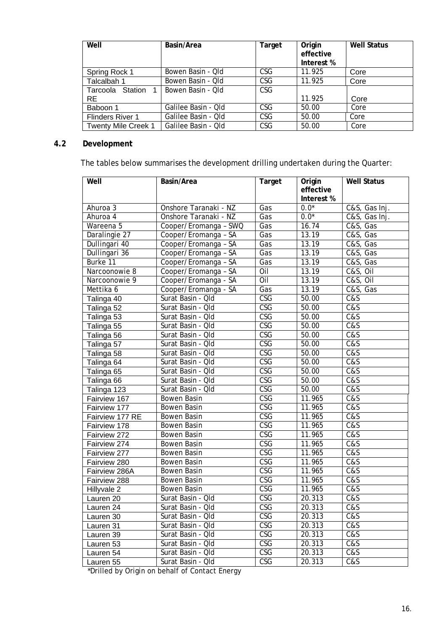| Well                       | Basin/Area          | Target     | Origin<br>effective<br>Interest % | <b>Well Status</b> |
|----------------------------|---------------------|------------|-----------------------------------|--------------------|
|                            |                     |            |                                   |                    |
| Spring Rock 1              | Bowen Basin - Qld   | <b>CSG</b> | 11.925                            | Core               |
| Talcalbah 1                | Bowen Basin - Qld   | <b>CSG</b> | 11.925                            | Core               |
| Tarcoola Station           | Bowen Basin - Old   | <b>CSG</b> |                                   |                    |
| <b>RE</b>                  |                     |            | 11.925                            | Core               |
| Baboon 1                   | Galilee Basin - Qld | <b>CSG</b> | 50.00                             | Core               |
| <b>Flinders River 1</b>    | Galilee Basin - Qld | <b>CSG</b> | 50.00                             | Core               |
| <b>Twenty Mile Creek 1</b> | Galilee Basin - Qld | <b>CSG</b> | 50.00                             | Core               |

## **4.2 Development**

The tables below summarises the development drilling undertaken during the Quarter:

| Well            | Basin/Area            | <b>Target</b>           | Origin<br>effective<br>Interest % | <b>Well Status</b>            |
|-----------------|-----------------------|-------------------------|-----------------------------------|-------------------------------|
| Ahuroa 3        | Onshore Taranaki - NZ | Gas                     | $0.0*$                            | C&S, Gas Inj.                 |
| Ahuroa 4        | Onshore Taranaki - NZ | Gas                     | $0.0*$                            | C&S, Gas Inj.                 |
| Wareena 5       | Cooper/Eromanga - SWQ | Gas                     | 16.74                             | C&S, Gas                      |
| Daralingie 27   | Cooper/Eromanga - SA  | Gas                     | 13.19                             | C&S, Gas                      |
| Dullingari 40   | Cooper/Eromanga - SA  | Gas                     | 13.19                             | C&S, Gas                      |
| Dullingari 36   | Cooper/Eromanga - SA  | Gas                     | 13.19                             | C&S, Gas                      |
| Burke 11        | Cooper/Eromanga - SA  | Gas                     | 13.19                             | C&S, Gas                      |
| Narcoonowie 8   | Cooper/Eromanga - SA  | Oil                     | 13.19                             | $C&S,$ Oil                    |
| Narcoonowie 9   | Cooper/Eromanga - SA  | Oil                     | 13.19                             | <b>C&amp;S, Oil</b>           |
| Mettika 6       | Cooper/Eromanga - SA  | Gas                     | 13.19                             | C&S, Gas                      |
| Talinga 40      | Surat Basin - Qld     | <b>CSG</b>              | 50.00                             | $\overline{\text{C}\text{S}}$ |
| Talinga 52      | Surat Basin - Qld     | $\overline{\text{CSG}}$ | 50.00                             | C&S                           |
| Talinga 53      | Surat Basin - Old     | <b>CSG</b>              | 50.00                             | C&S                           |
| Talinga 55      | Surat Basin - Qld     | $\overline{\text{CSG}}$ | 50.00                             | $\overline{\text{Cas}}$       |
| Talinga 56      | Surat Basin - Qld     | <b>CSG</b>              | 50.00                             | C&S                           |
| Talinga 57      | Surat Basin - Qld     | <b>CSG</b>              | 50.00                             | $\overline{\text{C}\text{S}}$ |
| Talinga 58      | Surat Basin - Qld     | $\overline{\text{CSG}}$ | 50.00                             | C&S                           |
| Talinga 64      | Surat Basin - Qld     | $\overline{\text{CSG}}$ | 50.00                             | $\overline{\text{Cas}}$       |
| Talinga 65      | Surat Basin - Qld     | <b>CSG</b>              | 50.00                             | C&S                           |
| Talinga 66      | Surat Basin - Old     | $\overline{\text{CSG}}$ | 50.00                             | C&S                           |
| Talinga 123     | Surat Basin - Qld     | $\overline{\text{CSG}}$ | 50.00                             | C&S                           |
| Fairview 167    | Bowen Basin           | CSG                     | 11.965                            | C&S                           |
| Fairview 177    | <b>Bowen Basin</b>    | $\overline{\text{CSG}}$ | 11.965                            | $\overline{\text{Cas}}$       |
| Fairview 177 RE | <b>Bowen Basin</b>    | $\overline{\text{CSG}}$ | 11.965                            | $\overline{\text{Cas}}$       |
| Fairview 178    | <b>Bowen Basin</b>    | $\overline{\text{CSG}}$ | 11.965                            | C&S                           |
| Fairview 272    | Bowen Basin           | CSG                     | 11.965                            | C&S                           |
| Fairview 274    | <b>Bowen Basin</b>    | $\overline{\text{CSG}}$ | 11.965                            | $\overline{\text{Cas}}$       |
| Fairview 277    | Bowen Basin           | $\overline{\text{CSG}}$ | 11.965                            | C&S                           |
| Fairview 280    | <b>Bowen Basin</b>    | CSG                     | 11.965                            | C&S                           |
| Fairview 286A   | <b>Bowen Basin</b>    | $\overline{\text{CSG}}$ | 11.965                            | $\overline{\text{Cas}}$       |
| Fairview 288    | <b>Bowen Basin</b>    | CSG                     | 11.965                            | $\overline{\text{cas}}$       |
| Hillyvale 2     | Bowen Basin           | CSG                     | 11.965                            | C&S                           |
| Lauren 20       | Surat Basin - Qld     | $\overline{\text{CSG}}$ | 20.313                            | $\overline{\text{Cas}}$       |
| Lauren 24       | Surat Basin - Old     | <b>CSG</b>              | 20.313                            | C&S                           |
| Lauren 30       | Surat Basin - Qld     | $\overline{\text{CSG}}$ | 20.313                            | $\overline{\text{Cas}}$       |
| Lauren 31       | Surat Basin - Qld     | $\overline{\text{CSG}}$ | 20.313                            | $\overline{\text{Cas}}$       |
| Lauren 39       | Surat Basin - Qld     | $\overline{\text{CSG}}$ | 20.313                            | $\overline{\text{Cas}}$       |
| Lauren 53       | Surat Basin - Qld     | $\overline{\text{CSG}}$ | 20.313                            | C&S                           |
| Lauren 54       | Surat Basin - Qld     | CSG                     | 20.313                            | C&S                           |
| Lauren 55       | Surat Basin - Qld     | CSG                     | 20.313                            | C&S                           |

\*Drilled by Origin on behalf of Contact Energy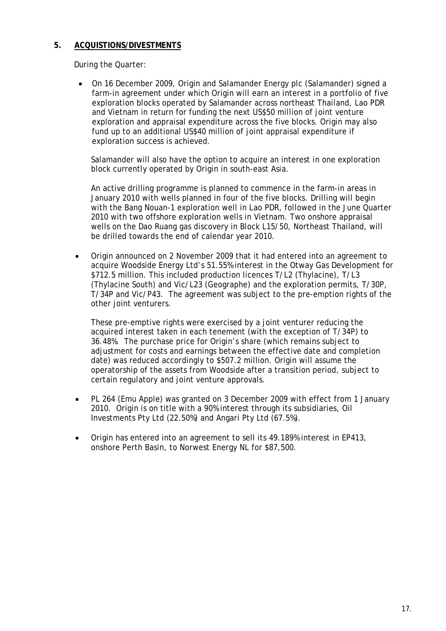## **5. ACQUISTIONS/DIVESTMENTS**

During the Quarter:

• On 16 December 2009, Origin and Salamander Energy plc (Salamander) signed a farm-in agreement under which Origin will earn an interest in a portfolio of five exploration blocks operated by Salamander across northeast Thailand, Lao PDR and Vietnam in return for funding the next US\$50 million of joint venture exploration and appraisal expenditure across the five blocks. Origin may also fund up to an additional US\$40 million of joint appraisal expenditure if exploration success is achieved.

Salamander will also have the option to acquire an interest in one exploration block currently operated by Origin in south-east Asia.

An active drilling programme is planned to commence in the farm-in areas in January 2010 with wells planned in four of the five blocks. Drilling will begin with the Bang Nouan-1 exploration well in Lao PDR, followed in the June Quarter 2010 with two offshore exploration wells in Vietnam. Two onshore appraisal wells on the Dao Ruang gas discovery in Block L15/50, Northeast Thailand, will be drilled towards the end of calendar year 2010.

• Origin announced on 2 November 2009 that it had entered into an agreement to acquire Woodside Energy Ltd's 51.55% interest in the Otway Gas Development for \$712.5 million. This included production licences T/L2 (Thylacine), T/L3 (Thylacine South) and Vic/L23 (Geographe) and the exploration permits, T/30P, T/34P and Vic/P43. The agreement was subject to the pre-emption rights of the other joint venturers.

These pre-emptive rights were exercised by a joint venturer reducing the acquired interest taken in each tenement (with the exception of T/34P) to 36.48%. The purchase price for Origin's share (which remains subject to adjustment for costs and earnings between the effective date and completion date) was reduced accordingly to \$507.2 million. Origin will assume the operatorship of the assets from Woodside after a transition period, subject to certain regulatory and joint venture approvals.

- PL 264 (Emu Apple) was granted on 3 December 2009 with effect from 1 January 2010. Origin is on title with a 90% interest through its subsidiaries, Oil Investments Pty Ltd (22.50%) and Angari Pty Ltd (67.5%).
- Origin has entered into an agreement to sell its 49.189% interest in EP413, onshore Perth Basin, to Norwest Energy NL for \$87,500.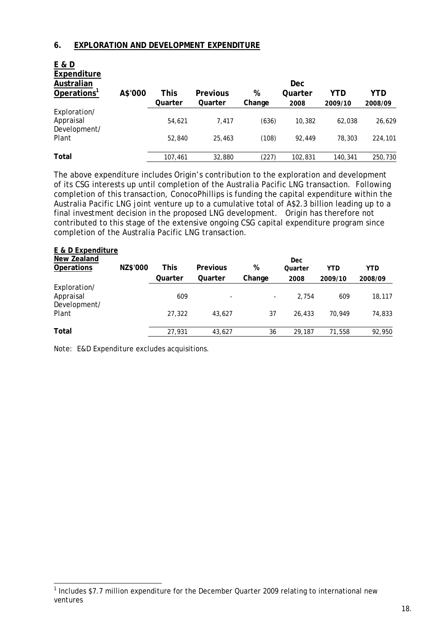#### **6. EXPLORATION AND DEVELOPMENT EXPENDITURE**

| E & D<br>Expenditure<br>Australian<br>Operations <sup>1</sup> | A\$'000 | This    | <b>Previous</b> | %      | <b>Dec</b><br>Quarter | YTD     | YTD     |
|---------------------------------------------------------------|---------|---------|-----------------|--------|-----------------------|---------|---------|
|                                                               |         | Quarter | Quarter         | Change | 2008                  | 2009/10 | 2008/09 |
| Exploration/<br>Appraisal<br>Development/                     |         | 54,621  | 7.417           | (636)  | 10,382                | 62,038  | 26,629  |
| Plant                                                         |         | 52,840  | 25,463          | (108)  | 92.449                | 78,303  | 224,101 |
| Total                                                         |         | 107,461 | 32,880          | (227)  | 102,831               | 140,341 | 250,730 |

The above expenditure includes Origin's contribution to the exploration and development of its CSG interests up until completion of the Australia Pacific LNG transaction. Following completion of this transaction, ConocoPhillips is funding the capital expenditure within the Australia Pacific LNG joint venture up to a cumulative total of A\$2.3 billion leading up to a final investment decision in the proposed LNG development. Origin has therefore not contributed to this stage of the extensive ongoing CSG capital expenditure program since completion of the Australia Pacific LNG transaction.

| E & D Expenditure                         |          |         |                 |        |         |            |            |
|-------------------------------------------|----------|---------|-----------------|--------|---------|------------|------------|
| New Zealand                               |          |         |                 |        | Dec     |            |            |
| <b>Operations</b>                         | NZ\$'000 | This    | <b>Previous</b> | %      | Quarter | <b>YTD</b> | <b>YTD</b> |
|                                           |          | Quarter | Quarter         | Change | 2008    | 2009/10    | 2008/09    |
| Exploration/<br>Appraisal<br>Development/ |          | 609     | ۰               | ۰.     | 2.754   | 609        | 18,117     |
| Plant                                     |          | 27,322  | 43.627          | 37     | 26,433  | 70.949     | 74,833     |
| Total                                     |          | 27,931  | 43.627          | 36     | 29,187  | 71,558     | 92,950     |

Note: E&D Expenditure excludes acquisitions.

-

<sup>&</sup>lt;sup>1</sup> Includes \$7.7 million expenditure for the December Quarter 2009 relating to international new ventures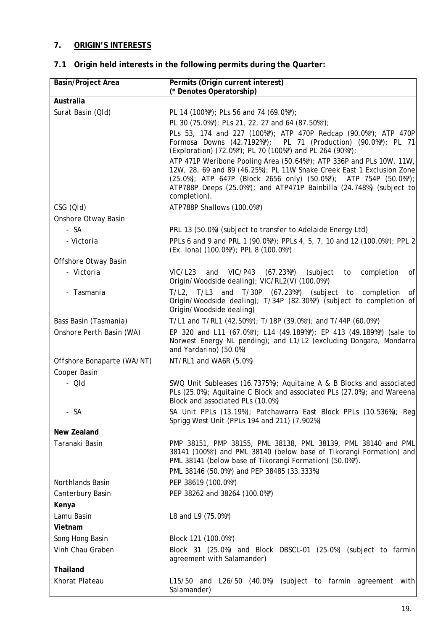## **7. ORIGIN'S INTERESTS**

# **7.1 Origin held interests in the following permits during the Quarter:**

| <b>Basin/Project Area</b>  | Permits (Origin current interest)<br>(* Denotes Operatorship)                                                                                                                                                                                                                                            |
|----------------------------|----------------------------------------------------------------------------------------------------------------------------------------------------------------------------------------------------------------------------------------------------------------------------------------------------------|
| Australia                  |                                                                                                                                                                                                                                                                                                          |
| Surat Basin (QId)          | PL 14 (100%*); PLs 56 and 74 (69.0%*);                                                                                                                                                                                                                                                                   |
|                            | PL 30 (75.0%*); PLs 21, 22, 27 and 64 (87.50%*);                                                                                                                                                                                                                                                         |
|                            | PLs 53, 174 and 227 (100%*); ATP 470P Redcap (90.0%*); ATP 470P<br>Formosa Downs (42.7192%*); PL 71 (Production) (90.0%*); PL 71<br>(Exploration) (72.0%*); PL 70 (100%*) and PL 264 (90%*);                                                                                                             |
|                            | ATP 471P Weribone Pooling Area (50.64%*); ATP 336P and PLs 10W, 11W,<br>12W, 28, 69 and 89 (46.25%); PL 11W Snake Creek East 1 Exclusion Zone<br>(25.0%); ATP 647P (Block 2656 only) (50.0%*); ATP 754P (50.0%*);<br>ATP788P Deeps (25.0%*); and ATP471P Bainbilla (24.748%) (subject to<br>completion). |
| CSG (QId)                  | ATP788P Shallows (100.0%*)                                                                                                                                                                                                                                                                               |
| Onshore Otway Basin        |                                                                                                                                                                                                                                                                                                          |
| - SA                       | PRL 13 (50.0%) (subject to transfer to Adelaide Energy Ltd)                                                                                                                                                                                                                                              |
| - Victoria                 | PPLs 6 and 9 and PRL 1 (90.0%*); PPLs 4, 5, 7, 10 and 12 (100.0%*); PPL 2<br>(Ex. lona) (100.0%*); PPL 8 (100.0%*)                                                                                                                                                                                       |
| Offshore Otway Basin       |                                                                                                                                                                                                                                                                                                          |
| - Victoria                 | VIC/L23<br>and VIC/P43 (67.23%*)<br>(subject<br>completion<br>to<br>of<br>Origin/Woodside dealing); VIC/RL2(V) (100.0%*)                                                                                                                                                                                 |
| - Tasmania                 | T/L2, T/L3 and T/30P (67.23%*) (subject to completion<br>of<br>Origin/Woodside dealing); T/34P (82.30%*) (subject to completion of<br>Origin/Woodside dealing)                                                                                                                                           |
| Bass Basin (Tasmania)      | T/L1 and T/RL1 (42.50%*); T/18P (39.0%*); and T/44P (60.0%*)                                                                                                                                                                                                                                             |
| Onshore Perth Basin (WA)   | EP 320 and L11 (67.0%*); L14 (49.189%*); EP 413 (49.189%*) (sale to<br>Norwest Energy NL pending); and L1/L2 (excluding Dongara, Mondarra<br>and Yardarino) (50.0%)                                                                                                                                      |
| Offshore Bonaparte (WA/NT) | NT/RL1 and WA6R (5.0%)                                                                                                                                                                                                                                                                                   |
| Cooper Basin               |                                                                                                                                                                                                                                                                                                          |
| $- Q/d$                    | SWQ Unit Subleases (16.7375%); Aquitaine A & B Blocks and associated<br>PLs (25.0%); Aquitaine C Block and associated PLs (27.0%); and Wareena<br>Block and associated PLs (10.0%)                                                                                                                       |
| SA                         | SA Unit PPLs (13.19%); Patchawarra East Block PPLs (10.536%); Reg<br>Sprigg West Unit (PPLs 194 and 211) (7.902%)                                                                                                                                                                                        |
| New Zealand                |                                                                                                                                                                                                                                                                                                          |
| Taranaki Basin             | PMP 38151, PMP 38155, PML 38138, PML 38139, PML 38140 and PML<br>38141 (100%*) and PML 38140 (below base of Tikorangi Formation) and<br>PML 38141 (below base of Tikorangi Formation) (50.0%*).<br>PML 38146 (50.0%*) and PEP 38485 (33.333%)                                                            |
| Northlands Basin           | PEP 38619 (100.0%*)                                                                                                                                                                                                                                                                                      |
| Canterbury Basin           | PEP 38262 and 38264 (100.0%*)                                                                                                                                                                                                                                                                            |
| Kenya                      |                                                                                                                                                                                                                                                                                                          |
| Lamu Basin                 | L8 and L9 (75.0%*)                                                                                                                                                                                                                                                                                       |
| Vietnam                    |                                                                                                                                                                                                                                                                                                          |
| Song Hong Basin            | Block 121 (100.0%*)                                                                                                                                                                                                                                                                                      |
| Vinh Chau Graben           | Block 31 (25.0%) and Block DBSCL-01 (25.0%) (subject to farmin<br>agreement with Salamander)                                                                                                                                                                                                             |
| Thailand                   |                                                                                                                                                                                                                                                                                                          |
| Khorat Plateau             | L15/50 and L26/50 (40.0%) (subject to farmin agreement with<br>Salamander)                                                                                                                                                                                                                               |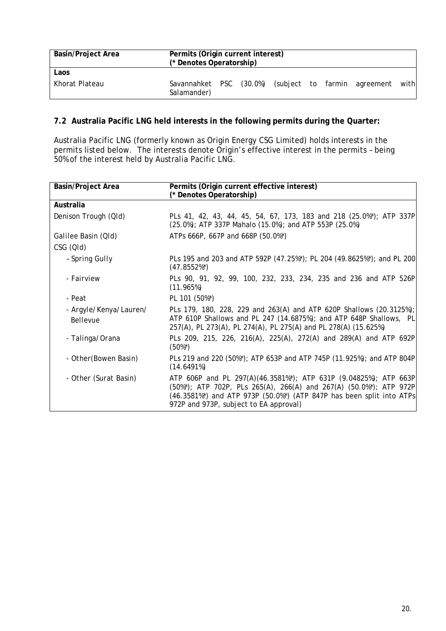| <b>Basin/Project Area</b> | Permits (Origin current interest)<br>(* Denotes Operatorship) |            |                            |  |           |       |
|---------------------------|---------------------------------------------------------------|------------|----------------------------|--|-----------|-------|
| Laos                      |                                                               |            |                            |  |           |       |
| Khorat Plateau            | Savannahket<br>Salamander)                                    | <b>PSC</b> | (30.0%) (subject to farmin |  | agreement | withl |

## **7.2 Australia Pacific LNG held interests in the following permits during the Quarter:**

Australia Pacific LNG (formerly known as Origin Energy CSG Limited) holds interests in the permits listed below. The interests denote Origin's effective interest in the permits – being 50% of the interest held by Australia Pacific LNG.

| <b>Basin/Project Area</b>          | Permits (Origin current effective interest)<br>(* Denotes Operatorship)                                                                                                                                                                                  |
|------------------------------------|----------------------------------------------------------------------------------------------------------------------------------------------------------------------------------------------------------------------------------------------------------|
| Australia                          |                                                                                                                                                                                                                                                          |
| Denison Trough (QId)               | PLs 41, 42, 43, 44, 45, 54, 67, 173, 183 and 218 (25.0%*); ATP 337P<br>(25.0%); ATP 337P Mahalo (15.0%); and ATP 553P (25.0%)                                                                                                                            |
| Galilee Basin (Qld)                | ATPs 666P, 667P and 668P (50.0%*)                                                                                                                                                                                                                        |
| CSG (QId)                          |                                                                                                                                                                                                                                                          |
| - Spring Gully                     | PLs 195 and 203 and ATP 592P (47.25%*); PL 204 (49.8625%*); and PL 200<br>$(47.8552\%)$                                                                                                                                                                  |
| - Fairview                         | PLs 90, 91, 92, 99, 100, 232, 233, 234, 235 and 236 and ATP 526P<br>(11.965%)                                                                                                                                                                            |
| - Peat                             | PL 101 (50%*)                                                                                                                                                                                                                                            |
| - Argyle/Kenya/Lauren/<br>Bellevue | PLs 179, 180, 228, 229 and 263(A) and ATP 620P Shallows (20.3125%);<br>ATP 610P Shallows and PL 247 (14.6875%); and ATP 648P Shallows, PL<br>257(A), PL 273(A), PL 274(A), PL 275(A) and PL 278(A) (15.625%)                                             |
| - Talinga/Orana                    | PLs 209, 215, 226, 216(A), 225(A), 272(A) and 289(A) and ATP 692P<br>$(50\%)$                                                                                                                                                                            |
| - Other (Bowen Basin)              | PLs 219 and 220 (50%*); ATP 653P and ATP 745P (11.925%); and ATP 804P<br>(14.6491%)                                                                                                                                                                      |
| - Other (Surat Basin)              | ATP 606P and PL 297(A)(46.3581%*); ATP 631P (9.04825%); ATP 663P<br>(50%*); ATP 702P, PLs 265(A), 266(A) and 267(A) (50.0%*); ATP 972P<br>(46.3581%*) and ATP 973P (50.0%*) (ATP 847P has been split into ATPs<br>972P and 973P, subject to EA approval) |